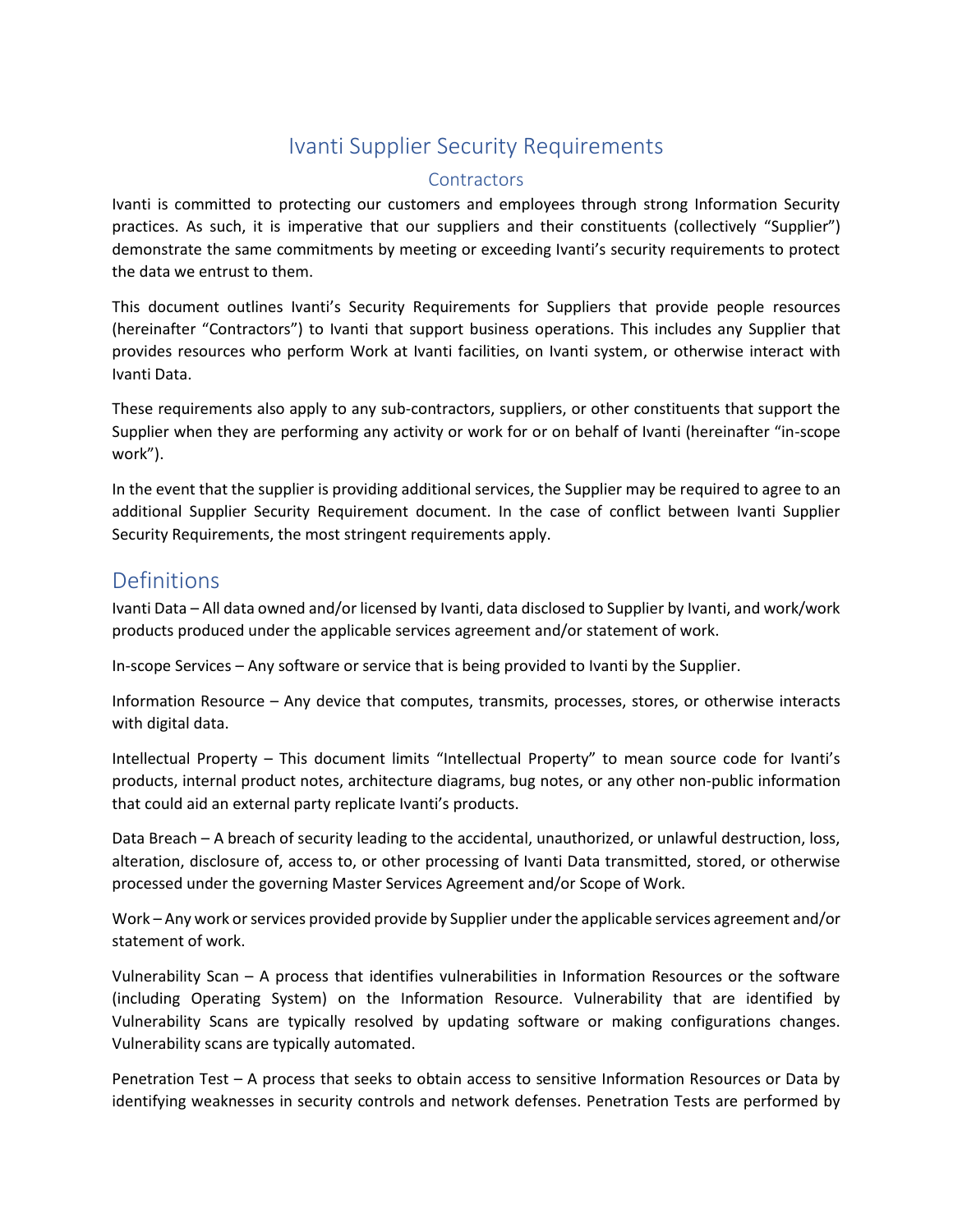# Ivanti Supplier Security Requirements

#### **Contractors**

Ivanti is committed to protecting our customers and employees through strong Information Security practices. As such, it is imperative that our suppliers and their constituents (collectively "Supplier") demonstrate the same commitments by meeting or exceeding Ivanti's security requirements to protect the data we entrust to them.

This document outlines Ivanti's Security Requirements for Suppliers that provide people resources (hereinafter "Contractors") to Ivanti that support business operations. This includes any Supplier that provides resources who perform Work at Ivanti facilities, on Ivanti system, or otherwise interact with Ivanti Data.

These requirements also apply to any sub-contractors, suppliers, or other constituents that support the Supplier when they are performing any activity or work for or on behalf of Ivanti (hereinafter "in-scope work").

In the event that the supplier is providing additional services, the Supplier may be required to agree to an additional Supplier Security Requirement document. In the case of conflict between Ivanti Supplier Security Requirements, the most stringent requirements apply.

# Definitions

Ivanti Data – All data owned and/or licensed by Ivanti, data disclosed to Supplier by Ivanti, and work/work products produced under the applicable services agreement and/or statement of work.

In-scope Services – Any software or service that is being provided to Ivanti by the Supplier.

Information Resource – Any device that computes, transmits, processes, stores, or otherwise interacts with digital data.

Intellectual Property – This document limits "Intellectual Property" to mean source code for Ivanti's products, internal product notes, architecture diagrams, bug notes, or any other non-public information that could aid an external party replicate Ivanti's products.

Data Breach – A breach of security leading to the accidental, unauthorized, or unlawful destruction, loss, alteration, disclosure of, access to, or other processing of Ivanti Data transmitted, stored, or otherwise processed under the governing Master Services Agreement and/or Scope of Work.

Work – Any work or services provided provide by Supplier under the applicable services agreement and/or statement of work.

Vulnerability Scan – A process that identifies vulnerabilities in Information Resources or the software (including Operating System) on the Information Resource. Vulnerability that are identified by Vulnerability Scans are typically resolved by updating software or making configurations changes. Vulnerability scans are typically automated.

Penetration Test – A process that seeks to obtain access to sensitive Information Resources or Data by identifying weaknesses in security controls and network defenses. Penetration Tests are performed by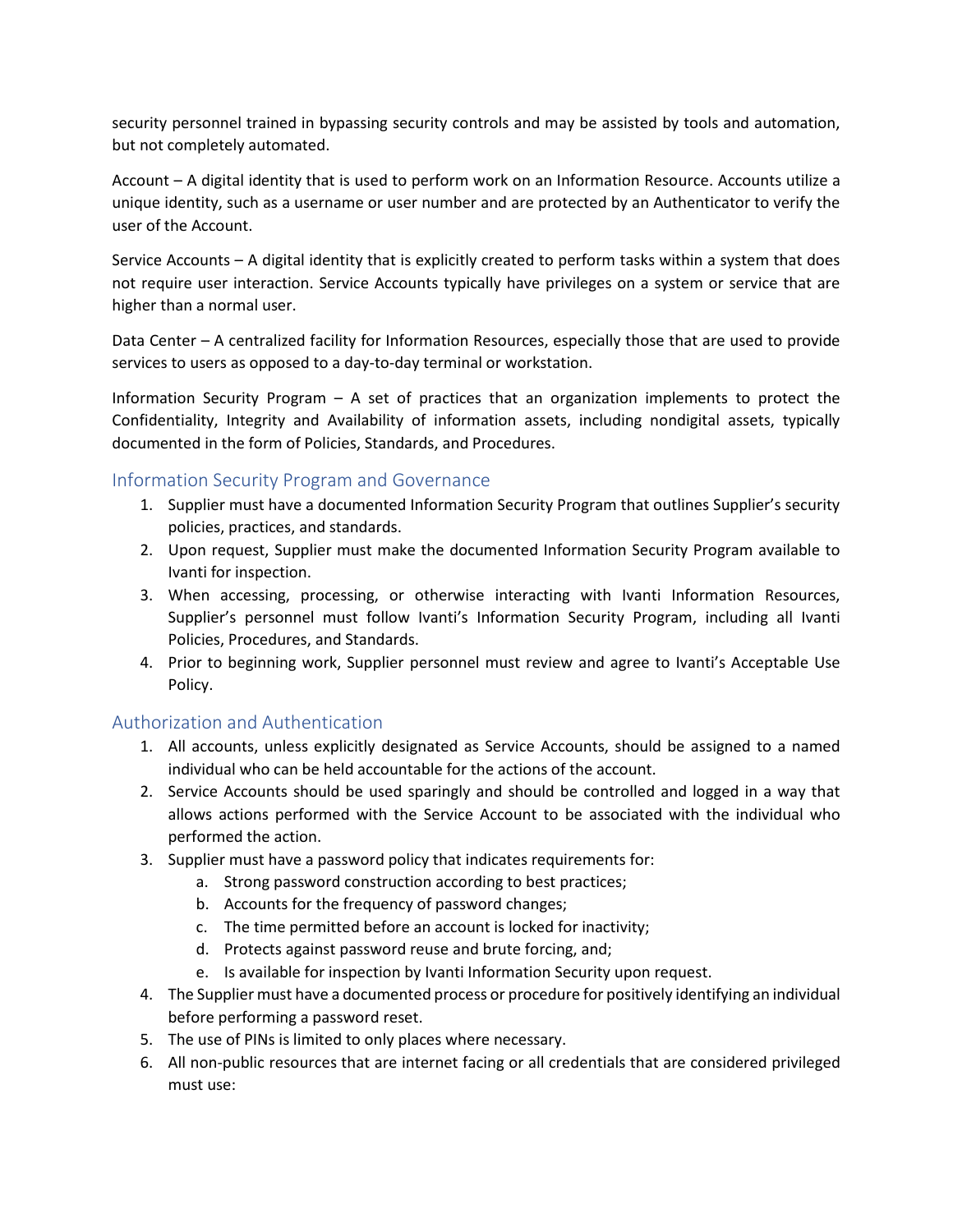security personnel trained in bypassing security controls and may be assisted by tools and automation, but not completely automated.

Account – A digital identity that is used to perform work on an Information Resource. Accounts utilize a unique identity, such as a username or user number and are protected by an Authenticator to verify the user of the Account.

Service Accounts – A digital identity that is explicitly created to perform tasks within a system that does not require user interaction. Service Accounts typically have privileges on a system or service that are higher than a normal user.

Data Center – A centralized facility for Information Resources, especially those that are used to provide services to users as opposed to a day-to-day terminal or workstation.

Information Security Program – A set of practices that an organization implements to protect the Confidentiality, Integrity and Availability of information assets, including nondigital assets, typically documented in the form of Policies, Standards, and Procedures.

#### Information Security Program and Governance

- 1. Supplier must have a documented Information Security Program that outlines Supplier's security policies, practices, and standards.
- 2. Upon request, Supplier must make the documented Information Security Program available to Ivanti for inspection.
- 3. When accessing, processing, or otherwise interacting with Ivanti Information Resources, Supplier's personnel must follow Ivanti's Information Security Program, including all Ivanti Policies, Procedures, and Standards.
- 4. Prior to beginning work, Supplier personnel must review and agree to Ivanti's Acceptable Use Policy.

#### Authorization and Authentication

- 1. All accounts, unless explicitly designated as Service Accounts, should be assigned to a named individual who can be held accountable for the actions of the account.
- 2. Service Accounts should be used sparingly and should be controlled and logged in a way that allows actions performed with the Service Account to be associated with the individual who performed the action.
- 3. Supplier must have a password policy that indicates requirements for:
	- a. Strong password construction according to best practices;
	- b. Accounts for the frequency of password changes;
	- c. The time permitted before an account is locked for inactivity;
	- d. Protects against password reuse and brute forcing, and;
	- e. Is available for inspection by Ivanti Information Security upon request.
- 4. The Supplier must have a documented process or procedure for positively identifying an individual before performing a password reset.
- 5. The use of PINs is limited to only places where necessary.
- 6. All non-public resources that are internet facing or all credentials that are considered privileged must use: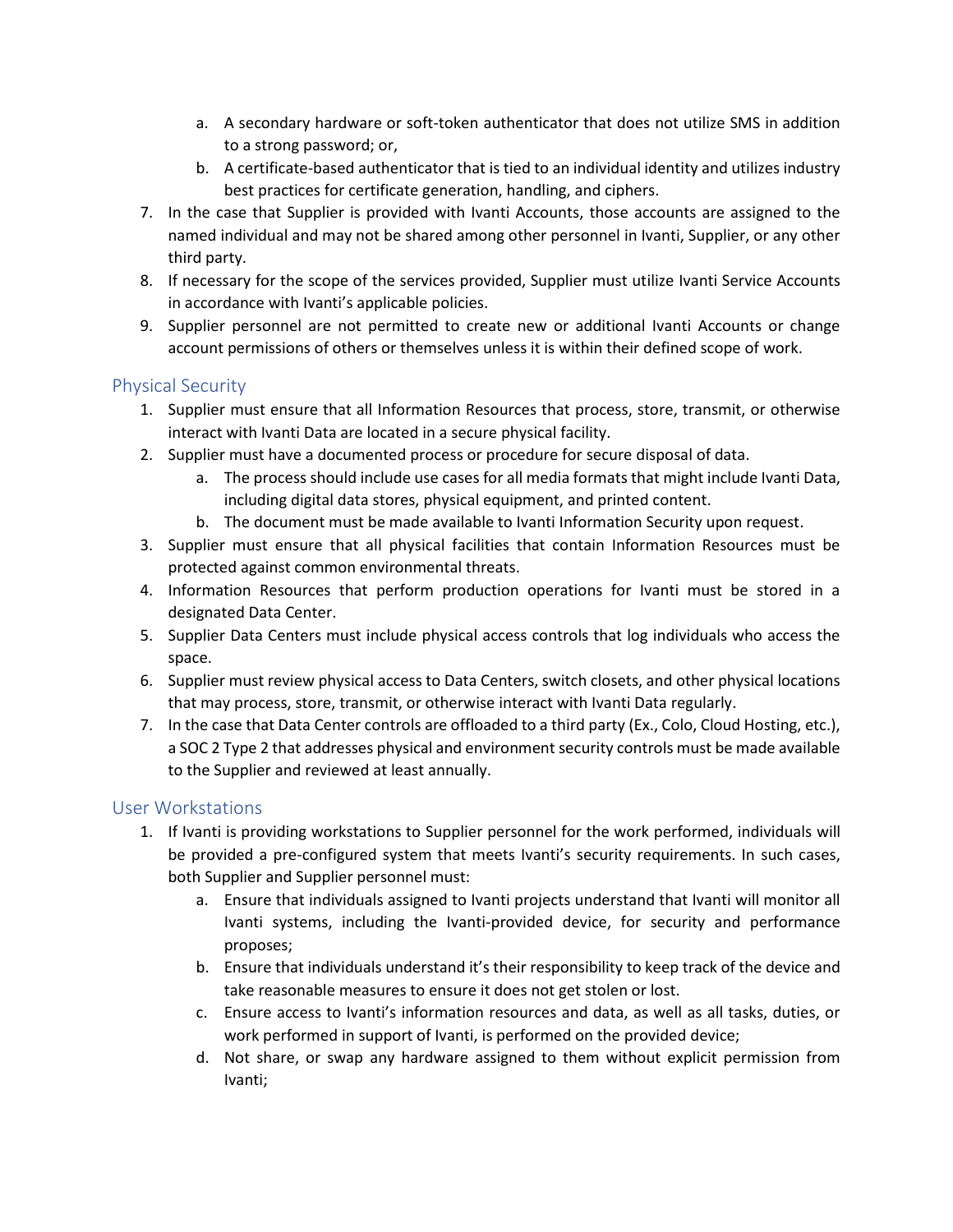- a. A secondary hardware or soft-token authenticator that does not utilize SMS in addition to a strong password; or,
- b. A certificate-based authenticator that is tied to an individual identity and utilizes industry best practices for certificate generation, handling, and ciphers.
- 7. In the case that Supplier is provided with Ivanti Accounts, those accounts are assigned to the named individual and may not be shared among other personnel in Ivanti, Supplier, or any other third party.
- 8. If necessary for the scope of the services provided, Supplier must utilize Ivanti Service Accounts in accordance with Ivanti's applicable policies.
- 9. Supplier personnel are not permitted to create new or additional Ivanti Accounts or change account permissions of others or themselves unless it is within their defined scope of work.

#### Physical Security

- 1. Supplier must ensure that all Information Resources that process, store, transmit, or otherwise interact with Ivanti Data are located in a secure physical facility.
- 2. Supplier must have a documented process or procedure for secure disposal of data.
	- a. The process should include use cases for all media formats that might include Ivanti Data, including digital data stores, physical equipment, and printed content.
	- b. The document must be made available to Ivanti Information Security upon request.
- 3. Supplier must ensure that all physical facilities that contain Information Resources must be protected against common environmental threats.
- 4. Information Resources that perform production operations for Ivanti must be stored in a designated Data Center.
- 5. Supplier Data Centers must include physical access controls that log individuals who access the space.
- 6. Supplier must review physical access to Data Centers, switch closets, and other physical locations that may process, store, transmit, or otherwise interact with Ivanti Data regularly.
- 7. In the case that Data Center controls are offloaded to a third party (Ex., Colo, Cloud Hosting, etc.), a SOC 2 Type 2 that addresses physical and environment security controls must be made available to the Supplier and reviewed at least annually.

#### User Workstations

- 1. If Ivanti is providing workstations to Supplier personnel for the work performed, individuals will be provided a pre-configured system that meets Ivanti's security requirements. In such cases, both Supplier and Supplier personnel must:
	- a. Ensure that individuals assigned to Ivanti projects understand that Ivanti will monitor all Ivanti systems, including the Ivanti-provided device, for security and performance proposes;
	- b. Ensure that individuals understand it's their responsibility to keep track of the device and take reasonable measures to ensure it does not get stolen or lost.
	- c. Ensure access to Ivanti's information resources and data, as well as all tasks, duties, or work performed in support of Ivanti, is performed on the provided device;
	- d. Not share, or swap any hardware assigned to them without explicit permission from Ivanti;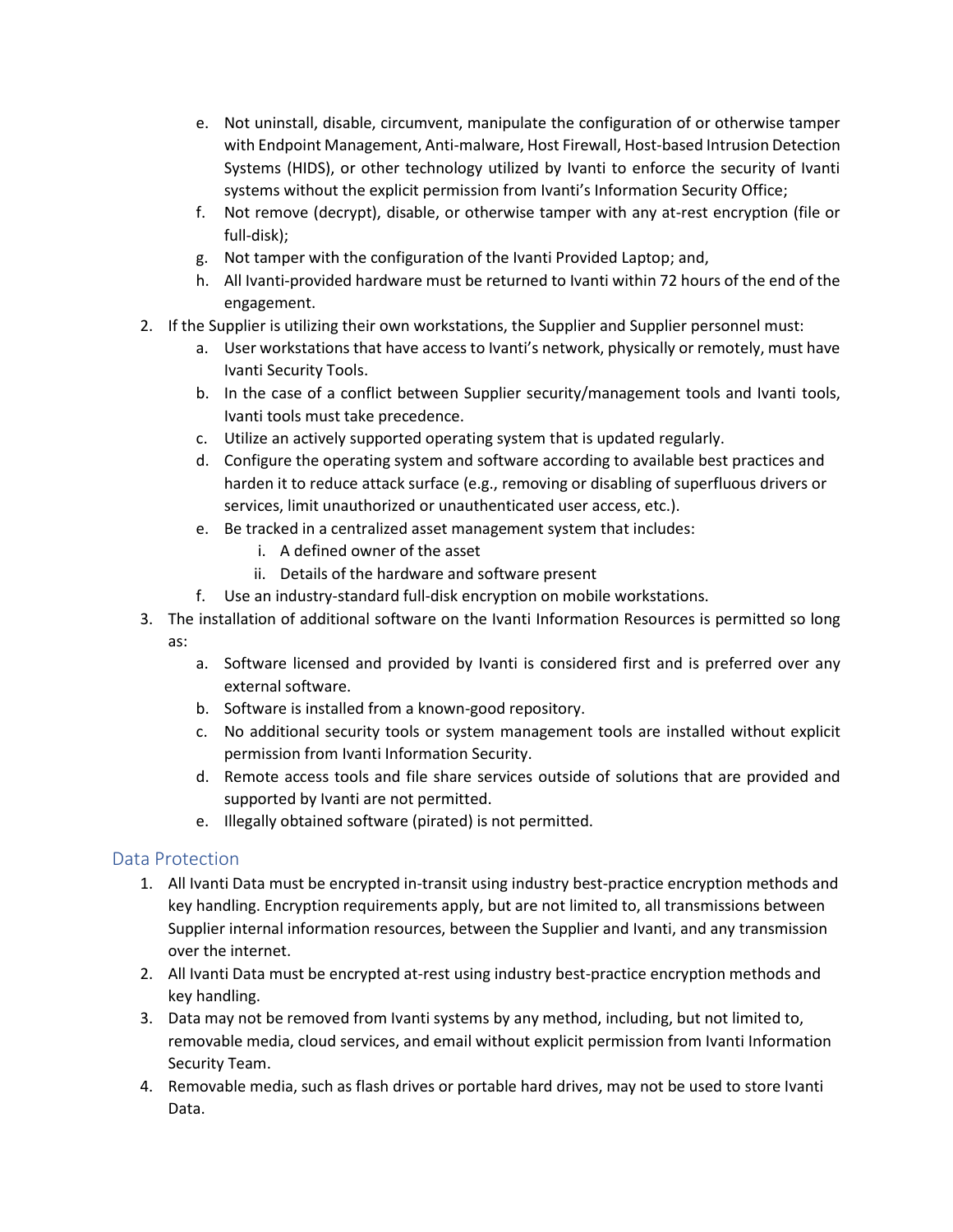- e. Not uninstall, disable, circumvent, manipulate the configuration of or otherwise tamper with Endpoint Management, Anti-malware, Host Firewall, Host-based Intrusion Detection Systems (HIDS), or other technology utilized by Ivanti to enforce the security of Ivanti systems without the explicit permission from Ivanti's Information Security Office;
- f. Not remove (decrypt), disable, or otherwise tamper with any at-rest encryption (file or full-disk);
- g. Not tamper with the configuration of the Ivanti Provided Laptop; and,
- h. All Ivanti-provided hardware must be returned to Ivanti within 72 hours of the end of the engagement.
- 2. If the Supplier is utilizing their own workstations, the Supplier and Supplier personnel must:
	- a. User workstations that have access to Ivanti's network, physically or remotely, must have Ivanti Security Tools.
	- b. In the case of a conflict between Supplier security/management tools and Ivanti tools, Ivanti tools must take precedence.
	- c. Utilize an actively supported operating system that is updated regularly.
	- d. Configure the operating system and software according to available best practices and harden it to reduce attack surface (e.g., removing or disabling of superfluous drivers or services, limit unauthorized or unauthenticated user access, etc.).
	- e. Be tracked in a centralized asset management system that includes:
		- i. A defined owner of the asset
		- ii. Details of the hardware and software present
	- f. Use an industry-standard full-disk encryption on mobile workstations.
- 3. The installation of additional software on the Ivanti Information Resources is permitted so long as:
	- a. Software licensed and provided by Ivanti is considered first and is preferred over any external software.
	- b. Software is installed from a known-good repository.
	- c. No additional security tools or system management tools are installed without explicit permission from Ivanti Information Security.
	- d. Remote access tools and file share services outside of solutions that are provided and supported by Ivanti are not permitted.
	- e. Illegally obtained software (pirated) is not permitted.

#### Data Protection

- 1. All Ivanti Data must be encrypted in-transit using industry best-practice encryption methods and key handling. Encryption requirements apply, but are not limited to, all transmissions between Supplier internal information resources, between the Supplier and Ivanti, and any transmission over the internet.
- 2. All Ivanti Data must be encrypted at-rest using industry best-practice encryption methods and key handling.
- 3. Data may not be removed from Ivanti systems by any method, including, but not limited to, removable media, cloud services, and email without explicit permission from Ivanti Information Security Team.
- 4. Removable media, such as flash drives or portable hard drives, may not be used to store Ivanti Data.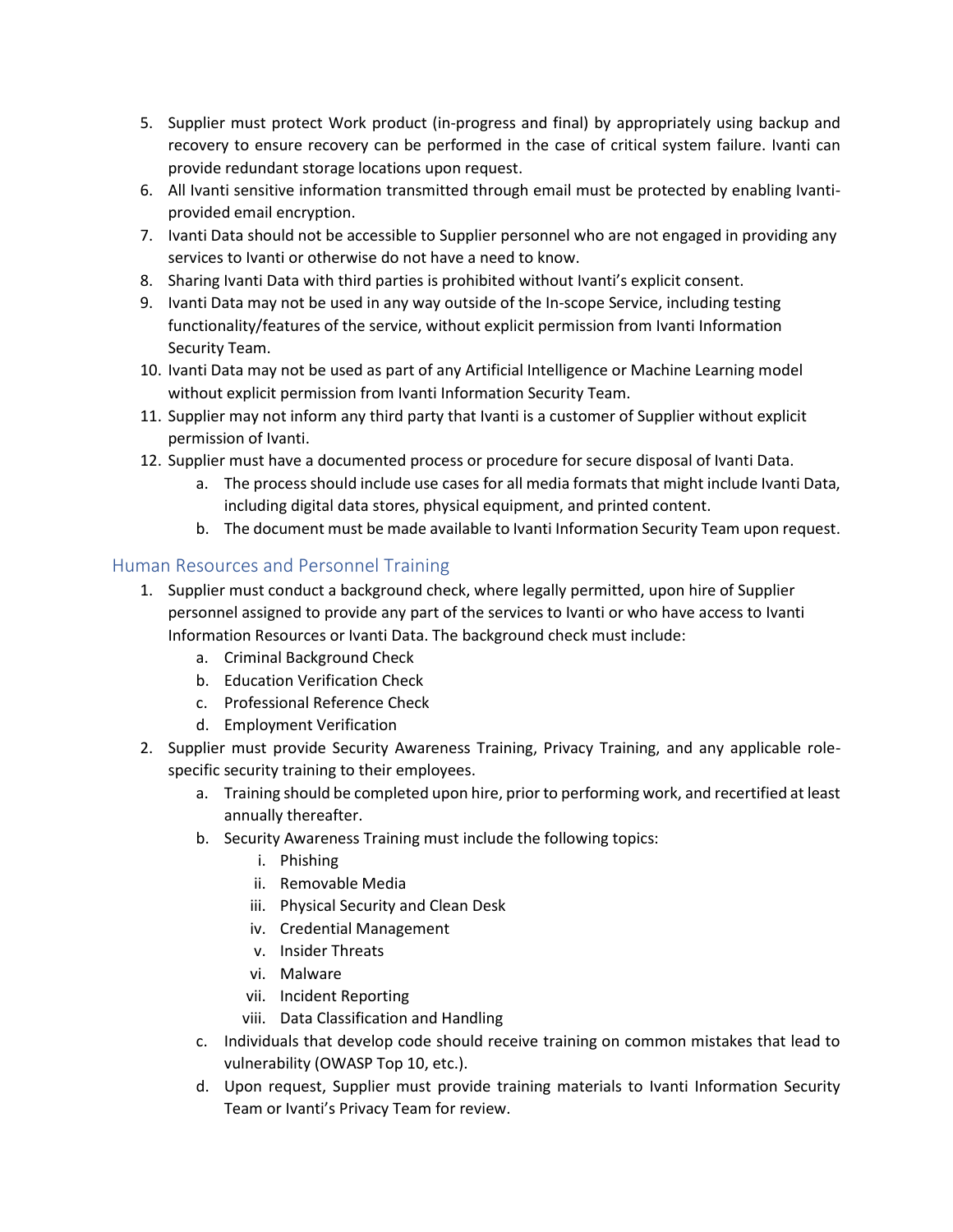- 5. Supplier must protect Work product (in-progress and final) by appropriately using backup and recovery to ensure recovery can be performed in the case of critical system failure. Ivanti can provide redundant storage locations upon request.
- 6. All Ivanti sensitive information transmitted through email must be protected by enabling Ivantiprovided email encryption.
- 7. Ivanti Data should not be accessible to Supplier personnel who are not engaged in providing any services to Ivanti or otherwise do not have a need to know.
- 8. Sharing Ivanti Data with third parties is prohibited without Ivanti's explicit consent.
- 9. Ivanti Data may not be used in any way outside of the In-scope Service, including testing functionality/features of the service, without explicit permission from Ivanti Information Security Team.
- 10. Ivanti Data may not be used as part of any Artificial Intelligence or Machine Learning model without explicit permission from Ivanti Information Security Team.
- 11. Supplier may not inform any third party that Ivanti is a customer of Supplier without explicit permission of Ivanti.
- 12. Supplier must have a documented process or procedure for secure disposal of Ivanti Data.
	- a. The process should include use cases for all media formats that might include Ivanti Data, including digital data stores, physical equipment, and printed content.
	- b. The document must be made available to Ivanti Information Security Team upon request.

# Human Resources and Personnel Training

- 1. Supplier must conduct a background check, where legally permitted, upon hire of Supplier personnel assigned to provide any part of the services to Ivanti or who have access to Ivanti Information Resources or Ivanti Data. The background check must include:
	- a. Criminal Background Check
	- b. Education Verification Check
	- c. Professional Reference Check
	- d. Employment Verification
- 2. Supplier must provide Security Awareness Training, Privacy Training, and any applicable rolespecific security training to their employees.
	- a. Training should be completed upon hire, prior to performing work, and recertified at least annually thereafter.
	- b. Security Awareness Training must include the following topics:
		- i. Phishing
		- ii. Removable Media
		- iii. Physical Security and Clean Desk
		- iv. Credential Management
		- v. Insider Threats
		- vi. Malware
		- vii. Incident Reporting
		- viii. Data Classification and Handling
	- c. Individuals that develop code should receive training on common mistakes that lead to vulnerability (OWASP Top 10, etc.).
	- d. Upon request, Supplier must provide training materials to Ivanti Information Security Team or Ivanti's Privacy Team for review.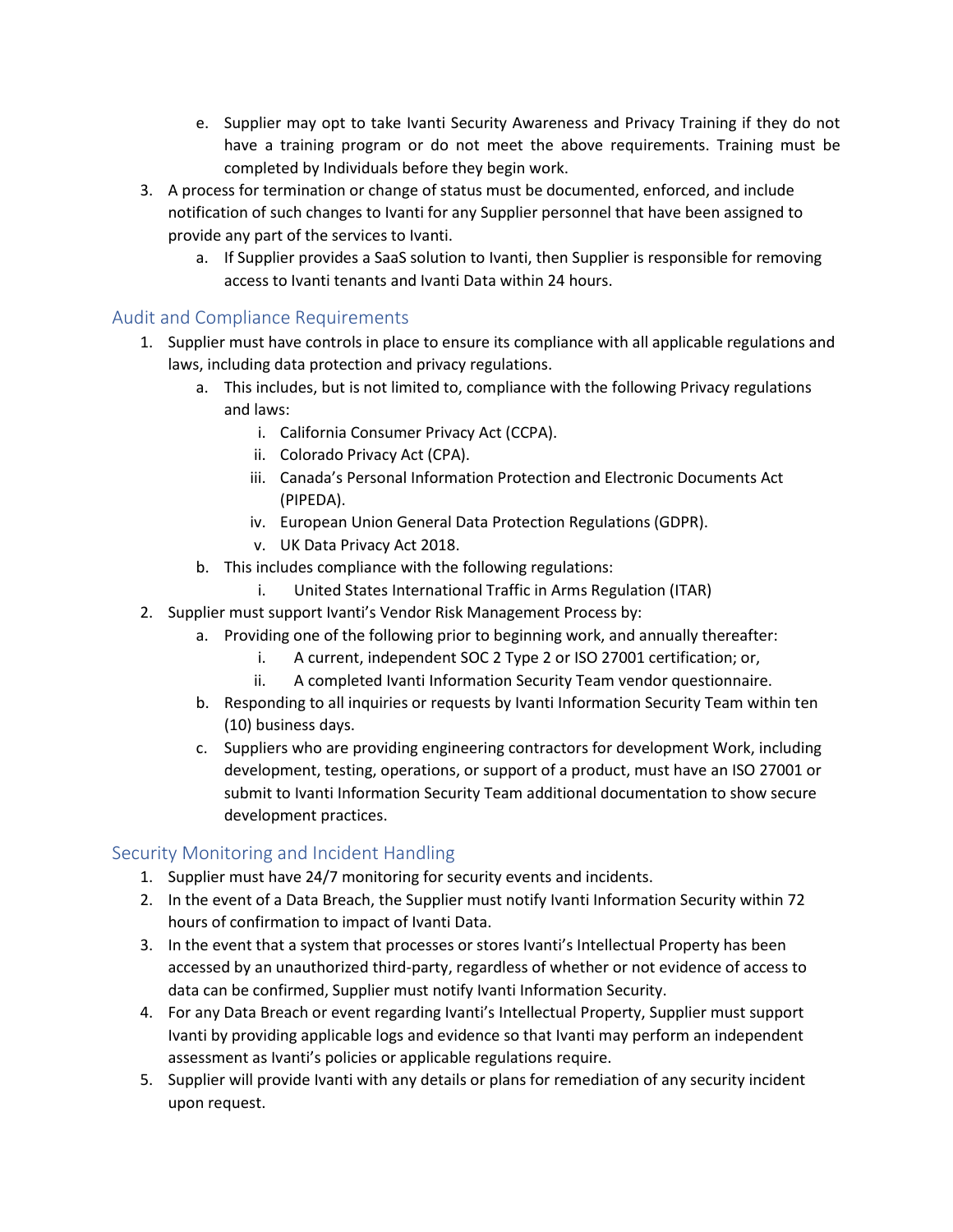- e. Supplier may opt to take Ivanti Security Awareness and Privacy Training if they do not have a training program or do not meet the above requirements. Training must be completed by Individuals before they begin work.
- 3. A process for termination or change of status must be documented, enforced, and include notification of such changes to Ivanti for any Supplier personnel that have been assigned to provide any part of the services to Ivanti.
	- a. If Supplier provides a SaaS solution to Ivanti, then Supplier is responsible for removing access to Ivanti tenants and Ivanti Data within 24 hours.

# Audit and Compliance Requirements

- 1. Supplier must have controls in place to ensure its compliance with all applicable regulations and laws, including data protection and privacy regulations.
	- a. This includes, but is not limited to, compliance with the following Privacy regulations and laws:
		- i. California Consumer Privacy Act (CCPA).
		- ii. Colorado Privacy Act (CPA).
		- iii. Canada's Personal Information Protection and Electronic Documents Act (PIPEDA).
		- iv. European Union General Data Protection Regulations (GDPR).
		- v. UK Data Privacy Act 2018.
	- b. This includes compliance with the following regulations:
		- i. United States International Traffic in Arms Regulation (ITAR)
- 2. Supplier must support Ivanti's Vendor Risk Management Process by:
	- a. Providing one of the following prior to beginning work, and annually thereafter:
		- i. A current, independent SOC 2 Type 2 or ISO 27001 certification; or,
		- ii. A completed Ivanti Information Security Team vendor questionnaire.
		- b. Responding to all inquiries or requests by Ivanti Information Security Team within ten (10) business days.
		- c. Suppliers who are providing engineering contractors for development Work, including development, testing, operations, or support of a product, must have an ISO 27001 or submit to Ivanti Information Security Team additional documentation to show secure development practices.

#### Security Monitoring and Incident Handling

- 1. Supplier must have 24/7 monitoring for security events and incidents.
- 2. In the event of a Data Breach, the Supplier must notify Ivanti Information Security within 72 hours of confirmation to impact of Ivanti Data.
- 3. In the event that a system that processes or stores Ivanti's Intellectual Property has been accessed by an unauthorized third-party, regardless of whether or not evidence of access to data can be confirmed, Supplier must notify Ivanti Information Security.
- 4. For any Data Breach or event regarding Ivanti's Intellectual Property, Supplier must support Ivanti by providing applicable logs and evidence so that Ivanti may perform an independent assessment as Ivanti's policies or applicable regulations require.
- 5. Supplier will provide Ivanti with any details or plans for remediation of any security incident upon request.